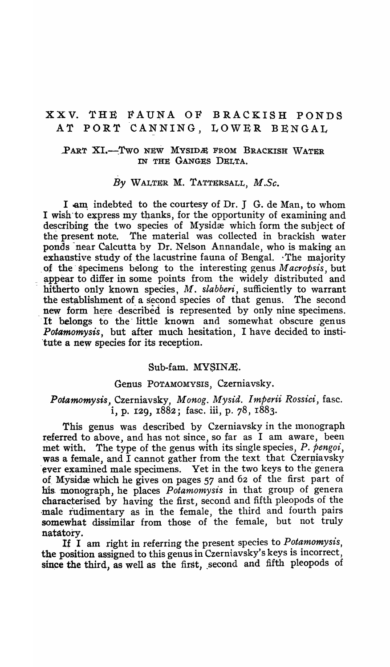# xxv. THE FAUNA OF BRACKISH PONDS AT PORT CANNING, LOWER BENGAL

#### PART XI.-Two NEW MYSIDE FROM BRACKISH WATER IN THE GANGES DELTA.

#### *By* WALTER M. TATTERSALL, *M.Sc.*

I am indebted to the courtesy of Dr. J G. de Man, to whom I wish to express my thanks, for the opportunity of examining and describing the two species of Mysidæ which form the subject of the present note. The material was collected in brackish water ponds near Calcutta by Dr. Nelson Annandale, who is making an exhaustive study of the lacustrine fauna of Bengal.  $\cdot$ The majority . of the' specimens belong to the interesting genus *M acropsis,* but appear to differ in some points from the widely distributed and hitherto only known species, *M. slabberi*, sufficiently to warrant the establishment of a second species of that genus. The second new form here described is represented by only nine specimens. It belongs to the little known and somewhat obscure genus *Potamomysis,* but after much hesitation, I have decided to institute a new species for its reception.

#### Sub-fam. MYSINÆ.

#### Genus POTAMOMYSIS, Czerniavsky.

## *Potamomysis,* Czerniavsky, *Monog. Mysid. Imperii Rossici,* fasc. i, p. I29, 1882; fasc. iii, p. 78, 1883.

This genus was described by Czerniavsky in the monograph referred to above, and has not since, so far as I am aware, been met with. The type of the genus with its single species, *P. pengoi,*  was a female, and I cannot gather from the text that Czerniavsky ever examined male specimens. Vet in the two keys to the genera of. Mysidæ which he gives on pages  $57$  and  $62$  of the first part of his. 'monograph, he places *Potamomysis* in that group of genera characterised by having the first, second and fifth pleopods of the male rudimentary as in the female, the third and fourth pairs somewhat dissimilar from those of the female, but not truly

natatory. It I am right in referring the present species to *Potamomysis,*  the position assigned to this genus in Czerniavsky's keys is incorrect, since the third, as well as the first, second and fifth pleopods of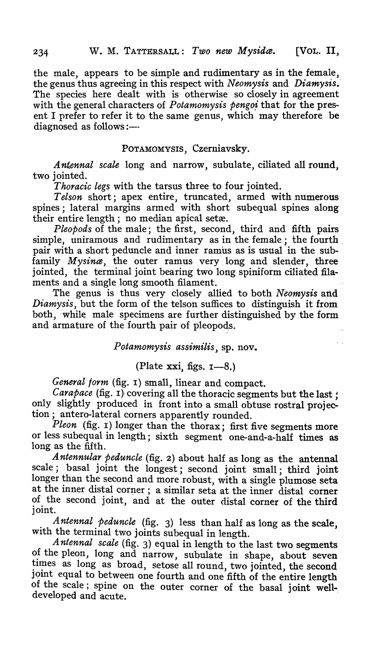the male, appears to be simple and rudimentary as in the female, the genus thus agreeing in this respect with *Neomysis* and *Diamysis ..*  The species here dealt with is otherwise so closely in agreement with the general characters of *Potamomysis pengoi* that for the present I prefer to refer it to the same genus, which may therefore be  $diagnosed$  as follows :-

### POTAMOMYSIS, Czerniavsky.

*Antennal scale* long and narrow, subulate, ciliated all round, two jointed.

*Thoracic legs* with the tarsus three to four jointed.

Telson short; apex entire, truncated, armed with numerous spines; lateral margins armed with short subequal spines along their entire length; no median apical setæ.

*Pleopods* of the male; the first, second, third and fifth pairs simple, uniramous and rudimentary as in the female; the fourth pair with a short peduncle and inner ramus as is usual in the subfamily *Mysina*, the outer ramus very long and slender, three jointed, the terminal joint bearing two long spiniform ciliated filaments and a single long smooth filament.

The genus is thus very closely allied to both *Neomysis* and *Diamysis,* but the form of the telson suffices to distinguish it from both, 'while male specimens are further distinguished by the form and armature of the fourth pair of pleopods.

*Potamomysis assimilis,* sp. nov.

## (Plate xxi, figs.  $I - 8$ .)

*General form* (fig. I) small, linear and compact.

*Carapace* (fig. 1) covering all the thoracic segments but the last; only slightly produced in front into a small obtuse rostral projection; antero-Iateral corners apparently rounded.

*Pleon* (fig. r) longer than the thorax; first five segments more or less subequal in length; sixth segment one-and-a-half times as long as the fifth.

*Antennular peduncle* (fig. 2) about half as long as the antennal scale; basal joint the longest; second joint small; third joint longer than the second and more robust, with a single plumose seta at the inner distal corner; a similar seta at the inner distal corner of the second joint, and at the outer distal corner of the third joint.

Antennal peduncle (fig. 3) less than half as long as the scale, with the terminal two joints subequal in length.

*Antennal scale* (fig. 3) equal in length to the last two segments of the pleon, long and narrow, subulate in shape, about seven times as long as broad, setose all round, two jointed, the second joint equal to between one fourth and one fifth of the entire length of the scale; spine on the outer corner of the basal joint welldeveloped and acute.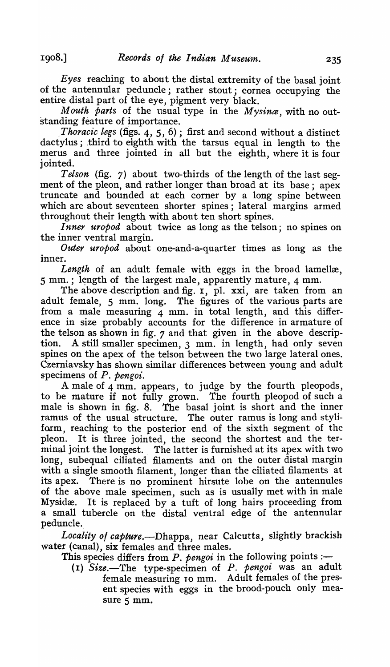*Eyes* reaching to about the distal extremity of the basal joint of the antennular peduncle; rather stout; cornea occupying the entire distal part of the eye, pigment very black.

*Mouth parts* of the usual type in the *Mysince,* with no outstanding feature of importance.

*. Thoracic legs* (figs. 4, 5, 6); first and second without a distinct dactylus; third to eighth with the tarsus equal in length to the merus and three jointed in all but the eighth, where it is four jointed.

*Telson* (fig. 7) about two-thirds of the length of the last segment of the pleon, and rather longer than broad at its base; apex truncate and bounded at each corner by a long spine between which are about seventeen shorter spines; lateral margins armed throughout their length with about ten short spines.

*Inner uropod* about twice as long as the telson; no spines on the inner ventral margin.

*Outer uropod* about one-and-a-quarter times as long as the inner.

Length of an adult female with eggs in the broad lamellæ, 5 mm.; length of the largest male, apparently mature, 4 mm.

The above description and fig.  $I$ , pl. xxi, are taken from an adult female, 5 mm. long. The figures of the various parts are from a male measuring  $4$  mm. in total length, and this difference in size probably accounts for the difference in armature of the telson as shown in fig. 7 and that given in the above description. A still smaller specimen, 3 mm. in length, had only seven spines on the apex of the telson between the two large lateral ones. Czerniavsky has shown similar differences between young and adult specimens of *P. pengoi.* 

A male of 4 mm. appears, to judge by the fourth pleopods, to be mature if not fully grown. The fourth pleopod of such a male is shown in fig. 8. The basal joint is short and the inner ramus of the usual structure. The outer ramus is long and styliform, reaching to the posterior end of the sixth segment of the pleon. It is three jointed, the second the shortest and the terminal joint the longest. The latter is furnished at its apex with two long, subequal ciliated filaments and on the outer distal margin with a single smooth filament, longer than the ciliated filaments at its apex. There is no prominent hirsute lobe on the antennules of the above male specimen, such as is usual1y met with in male Mysidæ. It is replaced by a tuft of long hairs proceeding from a small tubercle on the distal ventral edge of the antennular peduncle.

*Locality 0/ capture.-Dhappa,* near Calcutta, slightly brackish water (canal), six females and three males.

This species differs from  $P$ . pengoi in the following points :-

(I) *Size.-The* type-specimen of *P. pengoi* was an adult female measuring TO mm. Adult females of the present species with eggs in the brood-pouch only measure 5 mm.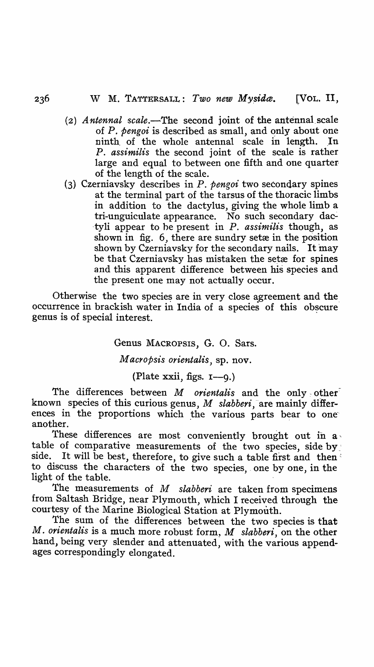- (2) *Antennal scale*.—The second joint of the antennal scale of P. *pengoi* is described as small, and only about one ninth of the whole antennal scale in length. In P. *assimilis* the second joint of the scale is rather large and equal to between one fifth and one quarter of the length of the scale.
- (3) Czerniavsky describes in *P. pengoi* two secondary spines at the terminal part of the tarsus of the thoracic limbs in addition to the dactylus, giving the whole limb a tri-unguiculate appearance. No such secondary dac--tyli appear to he present in *P. assinzilis* though, as shown in fig. 6, there are sundry setæ in the position shown by Czerniavsky for the secondary nails. It may be that Czerniavsky has mistaken the setæ for spines and this apparent difference between his species and the present one may not actually occur.

Otherwise the two species are in very close agreement and the. occurrence in brackish water in India of a species of this obscure genus is of special interest.

Genus MACROPSIS, G. O. Sars.

*M acropsis orientalis,* sp. nov.

(Plate xxii, figs.  $I=9.$ )

The differences between *M orientalis* and the only other<sup>7</sup> known species of this curious genus, *M slabberi*, are mainly differences in the proportions which the various parts bear to one another.

These differences are most conveniently brought out in  $a \cdot$ table of comparative measurements of the two species, side by side. It will be best, therefore, to give such a table first and then': to discuss the characters of the two species, one by one, in the light of the table.

The measurements of *M slabberi* are taken from specimens from Saltash Bridge, near Plymouth, which I received through the courtesy of the Marine Biological Station at Plymouth.

The sum of the differences between the two species is that *M. orientalis* is a much more robust form, *M slabberi*, on the other hand, being very slender and attenuated, with the various appendages correspondingly elongated.

236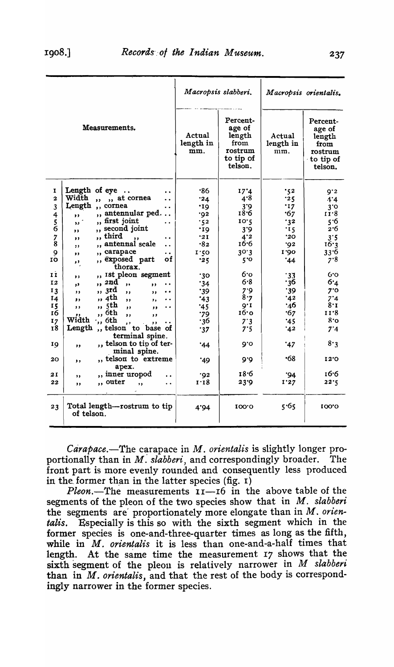|                |                                                                          | Macropsis slabberi.        |                                                                         | Macropsis orientalis.      |                                                                                 |
|----------------|--------------------------------------------------------------------------|----------------------------|-------------------------------------------------------------------------|----------------------------|---------------------------------------------------------------------------------|
| Measurements.  |                                                                          | Actual<br>length in<br>mm. | Percent-<br>age of<br>length<br>from<br>rostrum<br>to tip of<br>telson. | Actual<br>length in<br>mm. | Percent-<br>age of<br>length<br>from<br>rostrum<br>$\cdot$ to tip of<br>telson. |
| 1              | Length of eye<br>$\cdots$<br>$\cdot$                                     | .86                        | 17'4                                                                    | $\cdot$ 52                 | 9'2                                                                             |
| $\overline{a}$ | Width<br>,, at cornea<br>,<br>$\ddot{\phantom{0}}$                       | .24                        | 4.8                                                                     | 25.                        | 4.4                                                                             |
| 3              | Length<br>,, cornea<br>. .                                               | .19                        | 3.9                                                                     | .17                        | 30                                                                              |
| 4              | ,, antennular ped<br>,,                                                  | ۰92                        | 18.6                                                                    | 67'                        | 11.8                                                                            |
|                | " first joint<br>$\mathbf{v}$<br>$\cdot$ .                               | .52                        | 10.2                                                                    | .32                        | 5.6                                                                             |
| $\frac{5}{6}$  | ,, second joint<br>,,                                                    | ٠19                        | 3'9                                                                     | '15                        | 2.6                                                                             |
| 7              | ,, third<br>,<br>$\ddot{\phantom{0}}$                                    | 21                         | 4.2                                                                     | .20                        | 3.5                                                                             |
| 8              | antennal scale<br>$\overline{\mathbf{z}}$<br>$\ddot{\phantom{0}}$<br>, , | -82                        | 16.6                                                                    | ۰92                        | 16.3                                                                            |
| 9              | carapace<br>$\overline{\mathbf{z}}$<br>. .<br>$, \,$                     | I.50                       | 30.3                                                                    | 1.90                       | 33.6                                                                            |
| IÒ             | ,, exposed part<br>оf<br>,,                                              | 25.                        | 5°                                                                      | 44'                        | 7.8                                                                             |
| 11             | thorax.<br>,, ist pleon segment                                          |                            | 60о                                                                     |                            | 6.0                                                                             |
| 12             | $, \,$<br>" <i>2nd</i>                                                   | .30                        | $6 - 8$                                                                 | 33<br>36∙                  | 6.4                                                                             |
|                | $\cdot$<br>,<br>$\ddot{\phantom{0}}$<br>yÞ.<br>,, 3rd                    | 34                         | 7.9                                                                     | $\cdot$ 39                 | 7.0                                                                             |
| 13             | $, \,$<br>$\ddot{\phantom{a}}$<br>$, \,$<br>, ,<br>,, 4th                | .39                        | 8.7                                                                     | 42                         | 7*4                                                                             |
| 14<br>15       | ,,<br>, ,<br>. .<br>,,<br>,, 5th                                         | *43                        | $Q^*I$                                                                  | 16:                        | 8. 1                                                                            |
| 16             | ,,<br>,<br>. .<br>$\bullet$<br>,, 6th                                    | .45                        | 16.0                                                                    | 67'                        | 11.8                                                                            |
| 17             | ,,<br>$, \,$<br>,,<br>Width<br>$\cdot$ ,, 6th                            | 79'<br>-36                 | $7^\circ 3$                                                             | ۰45                        | 8.о                                                                             |
| 18             | ٠.<br>,,<br>Length<br>,, telson to base of                               |                            | 7.5                                                                     | 42'                        | 7.4                                                                             |
|                | terminal spine.                                                          | 37'                        |                                                                         |                            |                                                                                 |
| 19             | ,, telson to tip of ter-<br>,<br>minal spine.                            | 44                         | Ō.O                                                                     | ۰47                        | 8.3                                                                             |
| 20             | ,, telson to extreme<br>,,<br>apex.                                      | '49                        | 9.6                                                                     | 68•                        | 12'O                                                                            |
| 21             | ,, inner uropod                                                          | .02                        | 18.6                                                                    | ۰94                        | 16.6                                                                            |
| 22             | ,,<br>,, outer<br>,                                                      | 1.18                       | 23.9                                                                    | 1'27                       | 22.5                                                                            |
|                | $\ddot{\phantom{0}}$<br>,,                                               |                            |                                                                         |                            |                                                                                 |
| 23             | Total length-rostrum to tip<br>of telson.                                | 4.94                       | 100.0                                                                   | 5.65                       | 100'0                                                                           |

*Carapace.*—The carapace in *M. orientalis* is slightly longer proportionally than in *M. slabberi*, and correspondingly broader. The front part is more evenly rounded and consequently less produced in the former than in the latter species (fig.  $I$ )

*Pleon*.—The measurements  $I_1$ — $I_0$  in the above table of the segments of the pleon of the two species show that in *M, slabberi*  the segments are proportionately more elongate than in *M*. orien*talis.* Especially is this so with the sixth segment which in the former species is one-and-three-quarter times as long as the fifth, while in  $M$ . *orientalis* it is less than one-and-a-half times that length. At the same time the measurement 17 shows that the sixth segment of the pleon is relatively narrower in *M slabberi* than in *M. orientalis,* and that the rest of the body is correspondingly narrower in the former species.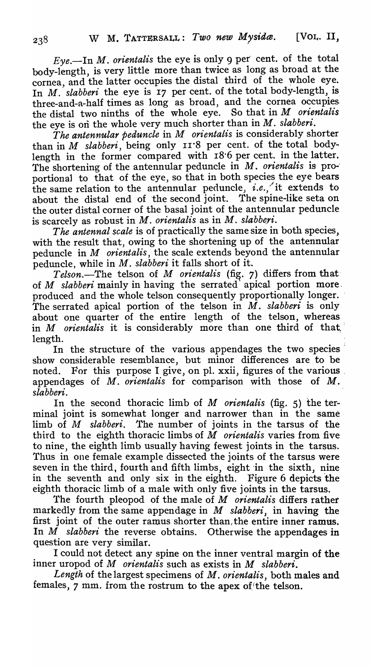$Eve$ —In *M. orientalis* the eye is only 9 per cent. of the total body-length, is very little more than twice as long as broad at the cornea, and the latter occupies the distal third of the whole eye. In *M.* slabberi the eye is 17 per cent. of the total body-length, is. three-and-a-half times as long as broad, and the cornea occupies, the distal two ninths of the whole eye. So that in *M orientalis*  the eye is on the whole very much shorter than in  $M$ . *slabberi*.

The antennular peduncle in *M* orientalis is considerably shorter than in *M* slabberi, being only II'8 per cent. of the total bodylength in the former compared with 18.6 per cent. in the latter. The shortening of the antennular peduncle in *M. orientalis* is proportional to that of the eye, so that in both species the eye bears the same relation to the antennular peduncle, *i.e.*, it extends to about the distal end of the second joint. The spine-like seta on the outer distal corner of the basal joint of the antennular peduncle is scarcely as robust in *M. orientalis* as in *M. slabberi*.

*The antennal scale* is of practically the same size in both species, with the result that, owing to the shortening up of the antennular peduncle in *M orientalis,* the scale extends beyond the antennular peduncle, while in *M. slabberi* it falls short of it.

*Telson.*-The telson of *M orientalis* (fig. 7) differs from that of *M slabberi* mainly in having the serrated apical portion more, produced and the whole telson consequently proportionally longer. The serrated apical portion of the telson in *M. slabberi* is only about one quarter of the entire length of the telson, whereas in *M* orientalis it is considerably more than one third of that, length.

In the structure of the various appendages the two species show considerable resemblance, but minor differences are to be noted. For this purpose I give, on pl. xxii, figures of the various. appendages of *M. orientalis* for comparison with those of *M. slabberi.* 

In the second thoracic limb of *M orientalis* (fig. 5) the terminal joint is somewhat longer and narrower than in the same limb of *M slabberi.* The number of joints in the tarsus of the third to the eighth thoracic limbs of *M orientalis* varies from five to nine, the eighth limb usually having fewest joints in the tarsus. Thus in one female example dissected the joints of the tarsus were seven in the third, fourth and fifth limbs, eight 'in the sixth, nine in the seventh and only six in the eighth. Figure 6 depicts 'the eighth thoracic limb of a male with only five joints in the tarsus.

The fourth pleopod of the male of *M orientalis* differs rather markedly from the same appendage in *M slabberi,* in having the first joint of the outer ramus shorter than, the entire inner ramus. In *M slabberi* the reverse obtains. Otherwise the appendages in question are very similar.

. I could not detect any spine on the inner ventral margin of the tnner uropod of *M orientalis* such as exists in *M slabberi.* 

Length of the largest specimens of *M. orientalis*, both males and females,  $\gamma$  mm. from the rostrum to the apex of the telson.